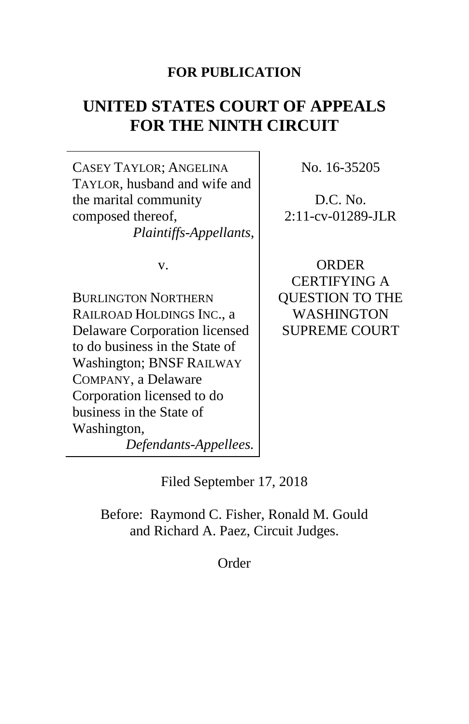# **FOR PUBLICATION**

# **UNITED STATES COURT OF APPEALS FOR THE NINTH CIRCUIT**

CASEY TAYLOR; ANGELINA TAYLOR, husband and wife and the marital community composed thereof, *Plaintiffs-Appellants*,

v.

BURLINGTON NORTHERN RAILROAD HOLDINGS INC., a Delaware Corporation licensed to do business in the State of Washington; BNSF RAILWAY COMPANY, a Delaware Corporation licensed to do business in the State of Washington, *Defendants-Appellees.* No. 16-35205

D.C. No. 2:11-cv-01289-JLR

ORDER CERTIFYING A QUESTION TO THE WASHINGTON SUPREME COURT

Filed September 17, 2018

Before: Raymond C. Fisher, Ronald M. Gould and Richard A. Paez, Circuit Judges.

Order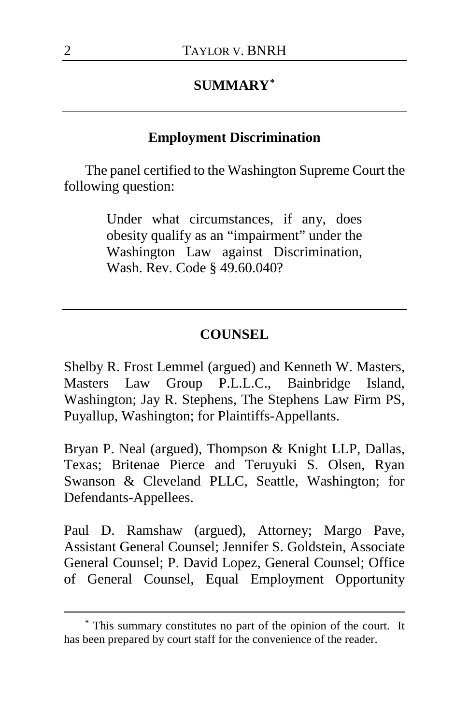# **SUMMARY[\\*](#page-1-0)**

### **Employment Discrimination**

The panel certified to the Washington Supreme Court the following question:

> Under what circumstances, if any, does obesity qualify as an "impairment" under the Washington Law against Discrimination, Wash. Rev. Code § 49.60.040?

#### **COUNSEL**

Shelby R. Frost Lemmel (argued) and Kenneth W. Masters, Masters Law Group P.L.L.C., Bainbridge Island, Washington; Jay R. Stephens, The Stephens Law Firm PS, Puyallup, Washington; for Plaintiffs-Appellants.

Bryan P. Neal (argued), Thompson & Knight LLP, Dallas, Texas; Britenae Pierce and Teruyuki S. Olsen, Ryan Swanson & Cleveland PLLC, Seattle, Washington; for Defendants-Appellees.

Paul D. Ramshaw (argued), Attorney; Margo Pave, Assistant General Counsel; Jennifer S. Goldstein, Associate General Counsel; P. David Lopez, General Counsel; Office of General Counsel, Equal Employment Opportunity

 $\overline{a}$ 

<span id="page-1-0"></span>**<sup>\*</sup>** This summary constitutes no part of the opinion of the court. It has been prepared by court staff for the convenience of the reader.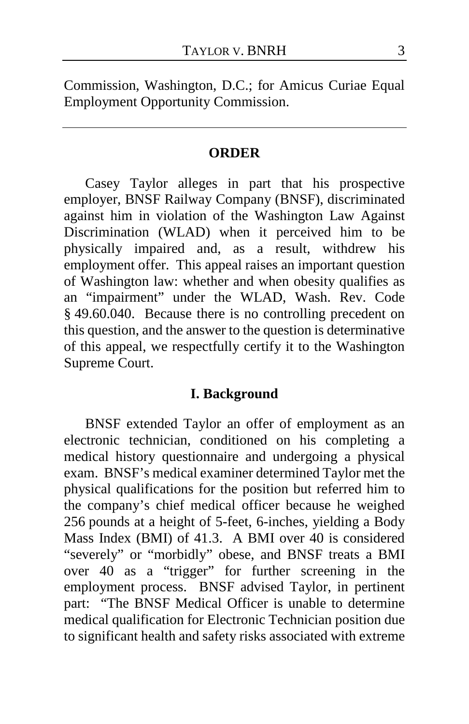Commission, Washington, D.C.; for Amicus Curiae Equal Employment Opportunity Commission.

#### **ORDER**

Casey Taylor alleges in part that his prospective employer, BNSF Railway Company (BNSF), discriminated against him in violation of the Washington Law Against Discrimination (WLAD) when it perceived him to be physically impaired and, as a result, withdrew his employment offer. This appeal raises an important question of Washington law: whether and when obesity qualifies as an "impairment" under the WLAD, Wash. Rev. Code § 49.60.040. Because there is no controlling precedent on this question, and the answer to the question is determinative of this appeal, we respectfully certify it to the Washington Supreme Court.

#### **I. Background**

BNSF extended Taylor an offer of employment as an electronic technician, conditioned on his completing a medical history questionnaire and undergoing a physical exam. BNSF's medical examiner determined Taylor met the physical qualifications for the position but referred him to the company's chief medical officer because he weighed 256 pounds at a height of 5-feet, 6-inches, yielding a Body Mass Index (BMI) of 41.3. A BMI over 40 is considered "severely" or "morbidly" obese, and BNSF treats a BMI over 40 as a "trigger" for further screening in the employment process. BNSF advised Taylor, in pertinent part: "The BNSF Medical Officer is unable to determine medical qualification for Electronic Technician position due to significant health and safety risks associated with extreme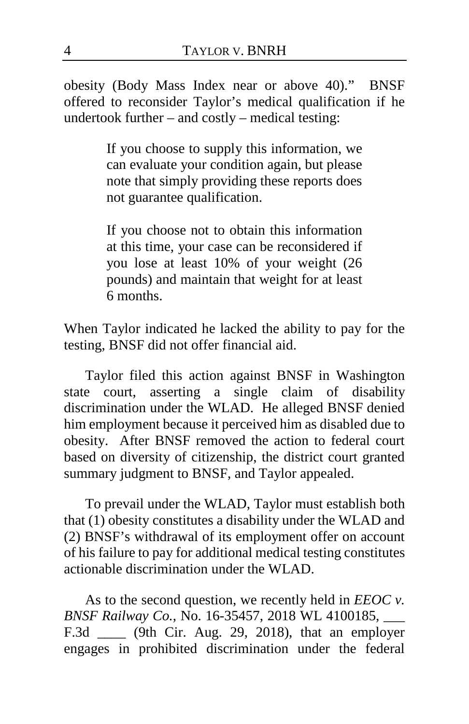obesity (Body Mass Index near or above 40)." BNSF offered to reconsider Taylor's medical qualification if he undertook further – and costly – medical testing:

> If you choose to supply this information, we can evaluate your condition again, but please note that simply providing these reports does not guarantee qualification.

> If you choose not to obtain this information at this time, your case can be reconsidered if you lose at least 10% of your weight (26 pounds) and maintain that weight for at least 6 months.

When Taylor indicated he lacked the ability to pay for the testing, BNSF did not offer financial aid.

Taylor filed this action against BNSF in Washington state court, asserting a single claim of disability discrimination under the WLAD. He alleged BNSF denied him employment because it perceived him as disabled due to obesity. After BNSF removed the action to federal court based on diversity of citizenship, the district court granted summary judgment to BNSF, and Taylor appealed.

To prevail under the WLAD, Taylor must establish both that (1) obesity constitutes a disability under the WLAD and (2) BNSF's withdrawal of its employment offer on account of his failure to pay for additional medical testing constitutes actionable discrimination under the WLAD.

As to the second question, we recently held in *EEOC v. BNSF Railway Co.*, No. 16-35457, 2018 WL 4100185, \_\_\_ F.3d \_\_\_\_ (9th Cir. Aug. 29, 2018), that an employer engages in prohibited discrimination under the federal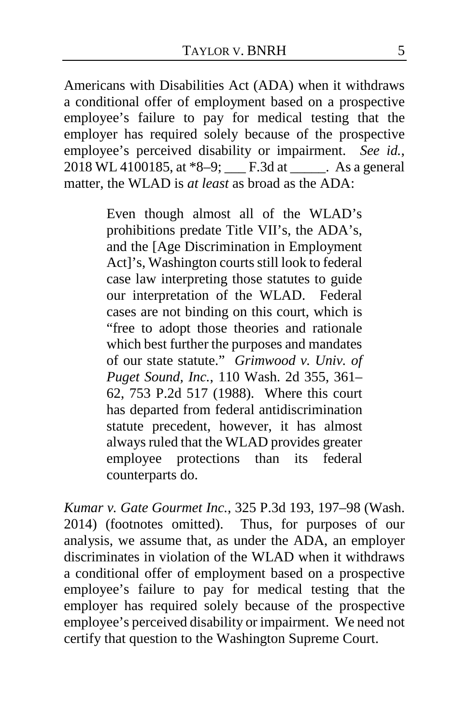Americans with Disabilities Act (ADA) when it withdraws a conditional offer of employment based on a prospective employee's failure to pay for medical testing that the employer has required solely because of the prospective employee's perceived disability or impairment. *See id.*, 2018 WL 4100185, at  $*8-9$ ; F.3d at As a general matter, the WLAD is *at least* as broad as the ADA:

> Even though almost all of the WLAD's prohibitions predate Title VII's, the ADA's, and the [Age Discrimination in Employment Act]'s, Washington courts still look to federal case law interpreting those statutes to guide our interpretation of the WLAD. Federal cases are not binding on this court, which is "free to adopt those theories and rationale which best further the purposes and mandates of our state statute." *Grimwood v. Univ. of Puget Sound, Inc.*, 110 Wash. 2d 355, 361– 62, 753 P.2d 517 (1988). Where this court has departed from federal antidiscrimination statute precedent, however, it has almost always ruled that the WLAD provides greater employee protections than its federal counterparts do.

*Kumar v. Gate Gourmet Inc.*, 325 P.3d 193, 197–98 (Wash. 2014) (footnotes omitted). Thus, for purposes of our analysis, we assume that, as under the ADA, an employer discriminates in violation of the WLAD when it withdraws a conditional offer of employment based on a prospective employee's failure to pay for medical testing that the employer has required solely because of the prospective employee's perceived disability or impairment. We need not certify that question to the Washington Supreme Court.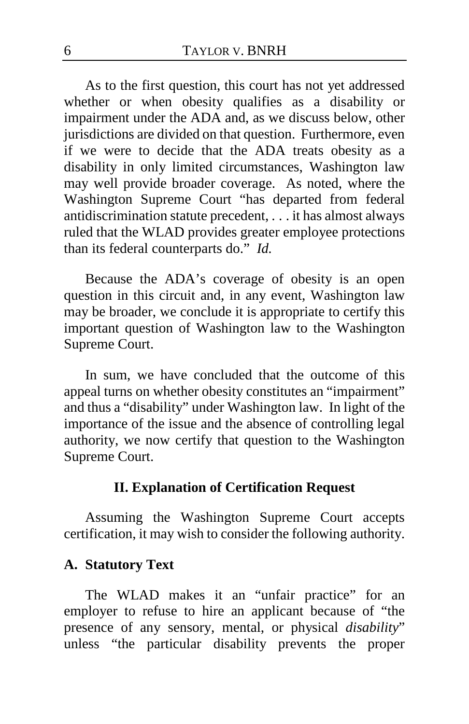As to the first question, this court has not yet addressed whether or when obesity qualifies as a disability or impairment under the ADA and, as we discuss below, other jurisdictions are divided on that question. Furthermore, even if we were to decide that the ADA treats obesity as a disability in only limited circumstances, Washington law may well provide broader coverage. As noted, where the Washington Supreme Court "has departed from federal antidiscrimination statute precedent, . . . it has almost always ruled that the WLAD provides greater employee protections than its federal counterparts do." *Id.*

Because the ADA's coverage of obesity is an open question in this circuit and, in any event, Washington law may be broader, we conclude it is appropriate to certify this important question of Washington law to the Washington Supreme Court.

In sum, we have concluded that the outcome of this appeal turns on whether obesity constitutes an "impairment" and thus a "disability" under Washington law. In light of the importance of the issue and the absence of controlling legal authority, we now certify that question to the Washington Supreme Court.

# **II. Explanation of Certification Request**

Assuming the Washington Supreme Court accepts certification, it may wish to consider the following authority.

#### **A. Statutory Text**

The WLAD makes it an "unfair practice" for an employer to refuse to hire an applicant because of "the presence of any sensory, mental, or physical *disability*" unless "the particular disability prevents the proper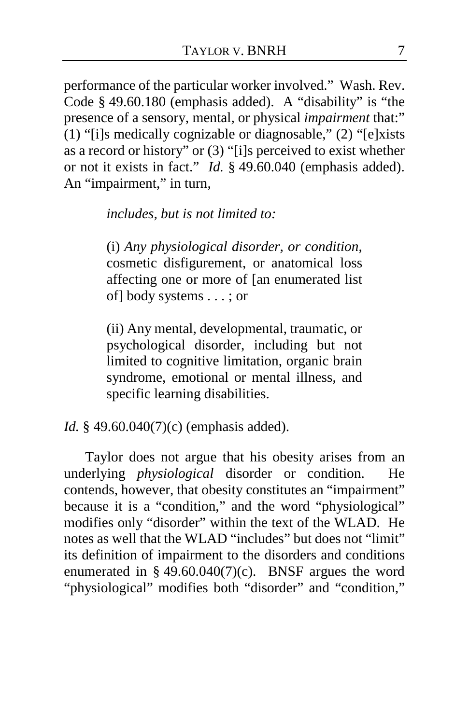performance of the particular worker involved." Wash. Rev. Code § 49.60.180 (emphasis added). A "disability" is "the presence of a sensory, mental, or physical *impairment* that:" (1) "[i]s medically cognizable or diagnosable," (2) "[e]xists as a record or history" or (3) "[i]s perceived to exist whether or not it exists in fact." *Id.* § 49.60.040 (emphasis added). An "impairment," in turn,

*includes, but is not limited to:*

(i) *Any physiological disorder, or condition*, cosmetic disfigurement, or anatomical loss affecting one or more of [an enumerated list of] body systems . . . ; or

(ii) Any mental, developmental, traumatic, or psychological disorder, including but not limited to cognitive limitation, organic brain syndrome, emotional or mental illness, and specific learning disabilities.

*Id.* § 49.60.040(7)(c) (emphasis added).

Taylor does not argue that his obesity arises from an underlying *physiological* disorder or condition. He contends, however, that obesity constitutes an "impairment" because it is a "condition," and the word "physiological" modifies only "disorder" within the text of the WLAD. He notes as well that the WLAD "includes" but does not "limit" its definition of impairment to the disorders and conditions enumerated in  $§$  49.60.040(7)(c). BNSF argues the word "physiological" modifies both "disorder" and "condition,"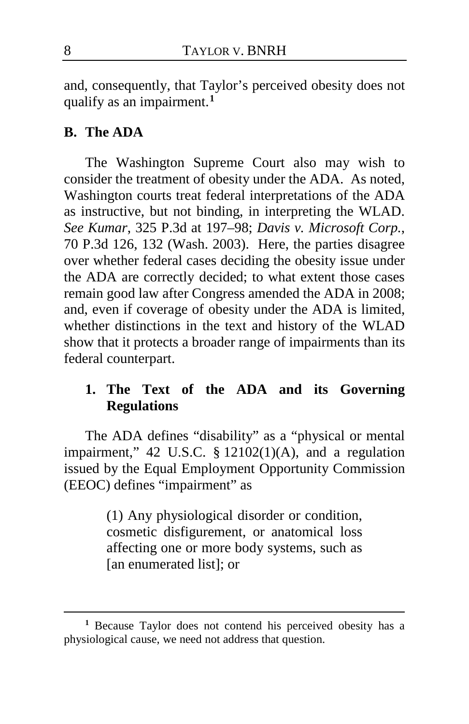and, consequently, that Taylor's perceived obesity does not qualify as an impairment.**[1](#page-7-0)**

# **B. The ADA**

The Washington Supreme Court also may wish to consider the treatment of obesity under the ADA. As noted, Washington courts treat federal interpretations of the ADA as instructive, but not binding, in interpreting the WLAD. *See Kumar*, 325 P.3d at 197–98; *Davis v. Microsoft Corp.*, 70 P.3d 126, 132 (Wash. 2003). Here, the parties disagree over whether federal cases deciding the obesity issue under the ADA are correctly decided; to what extent those cases remain good law after Congress amended the ADA in 2008; and, even if coverage of obesity under the ADA is limited, whether distinctions in the text and history of the WLAD show that it protects a broader range of impairments than its federal counterpart.

# **1. The Text of the ADA and its Governing Regulations**

The ADA defines "disability" as a "physical or mental impairment," 42 U.S.C. § 12102(1)(A), and a regulation issued by the Equal Employment Opportunity Commission (EEOC) defines "impairment" as

> (1) Any physiological disorder or condition, cosmetic disfigurement, or anatomical loss affecting one or more body systems, such as [an enumerated list]; or

 $\overline{a}$ 

<span id="page-7-0"></span>**<sup>1</sup>** Because Taylor does not contend his perceived obesity has a physiological cause, we need not address that question.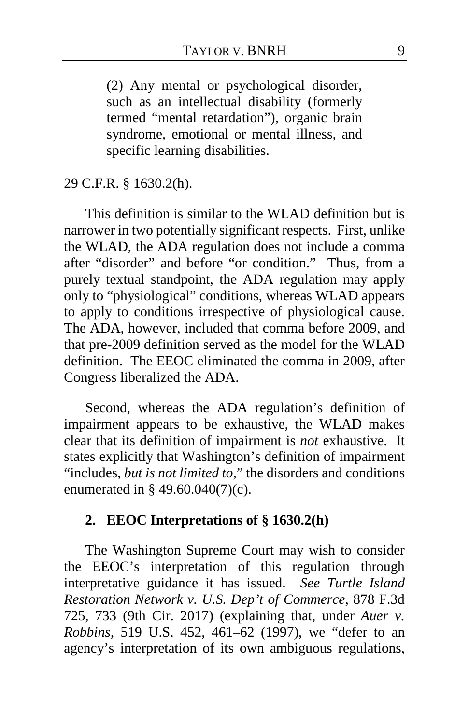(2) Any mental or psychological disorder, such as an intellectual disability (formerly termed "mental retardation"), organic brain syndrome, emotional or mental illness, and specific learning disabilities.

29 C.F.R. § 1630.2(h).

This definition is similar to the WLAD definition but is narrower in two potentially significant respects. First, unlike the WLAD, the ADA regulation does not include a comma after "disorder" and before "or condition." Thus, from a purely textual standpoint, the ADA regulation may apply only to "physiological" conditions, whereas WLAD appears to apply to conditions irrespective of physiological cause. The ADA, however, included that comma before 2009, and that pre-2009 definition served as the model for the WLAD definition. The EEOC eliminated the comma in 2009, after Congress liberalized the ADA.

Second, whereas the ADA regulation's definition of impairment appears to be exhaustive, the WLAD makes clear that its definition of impairment is *not* exhaustive. It states explicitly that Washington's definition of impairment "includes, *but is not limited to*," the disorders and conditions enumerated in § 49.60.040(7)(c).

### **2. EEOC Interpretations of § 1630.2(h)**

The Washington Supreme Court may wish to consider the EEOC's interpretation of this regulation through interpretative guidance it has issued. *See Turtle Island Restoration Network v. U.S. Dep't of Commerce*, 878 F.3d 725, 733 (9th Cir. 2017) (explaining that, under *Auer v. Robbins*, 519 U.S. 452, 461–62 (1997), we "defer to an agency's interpretation of its own ambiguous regulations,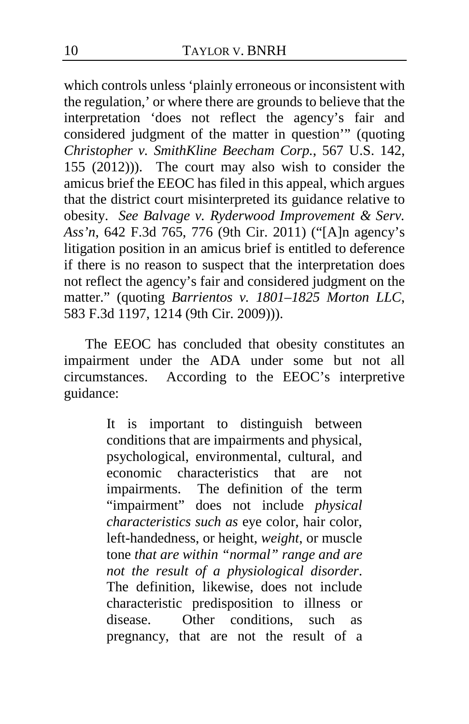which controls unless 'plainly erroneous or inconsistent with the regulation,' or where there are grounds to believe that the interpretation 'does not reflect the agency's fair and considered judgment of the matter in question'" (quoting *Christopher v. SmithKline Beecham Corp.*, 567 U.S. 142, 155 (2012))). The court may also wish to consider the amicus brief the EEOC has filed in this appeal, which argues that the district court misinterpreted its guidance relative to obesity. *See Balvage v. Ryderwood Improvement & Serv. Ass'n*, 642 F.3d 765, 776 (9th Cir. 2011) ("[A]n agency's litigation position in an amicus brief is entitled to deference if there is no reason to suspect that the interpretation does not reflect the agency's fair and considered judgment on the matter." (quoting *Barrientos v. 1801–1825 Morton LLC*, 583 F.3d 1197, 1214 (9th Cir. 2009))).

The EEOC has concluded that obesity constitutes an impairment under the ADA under some but not all circumstances. According to the EEOC's interpretive guidance:

> It is important to distinguish between conditions that are impairments and physical, psychological, environmental, cultural, and economic characteristics that are not impairments. The definition of the term "impairment" does not include *physical characteristics such as* eye color, hair color, left-handedness, or height, *weight*, or muscle tone *that are within "normal" range and are not the result of a physiological disorder*. The definition, likewise, does not include characteristic predisposition to illness or disease. Other conditions, such as pregnancy, that are not the result of a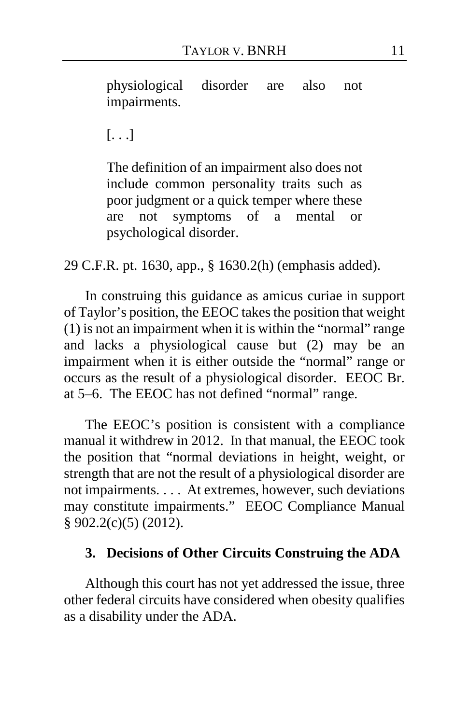physiological disorder are also not impairments.

[. . .]

The definition of an impairment also does not include common personality traits such as poor judgment or a quick temper where these are not symptoms of a mental or psychological disorder.

29 C.F.R. pt. 1630, app., § 1630.2(h) (emphasis added).

In construing this guidance as amicus curiae in support of Taylor's position, the EEOC takes the position that weight (1) is not an impairment when it is within the "normal" range and lacks a physiological cause but (2) may be an impairment when it is either outside the "normal" range or occurs as the result of a physiological disorder. EEOC Br. at 5–6.The EEOC has not defined "normal" range.

The EEOC's position is consistent with a compliance manual it withdrew in 2012. In that manual, the EEOC took the position that "normal deviations in height, weight, or strength that are not the result of a physiological disorder are not impairments. . . . At extremes, however, such deviations may constitute impairments." EEOC Compliance Manual § 902.2(c)(5) (2012).

#### **3. Decisions of Other Circuits Construing the ADA**

Although this court has not yet addressed the issue, three other federal circuits have considered when obesity qualifies as a disability under the ADA.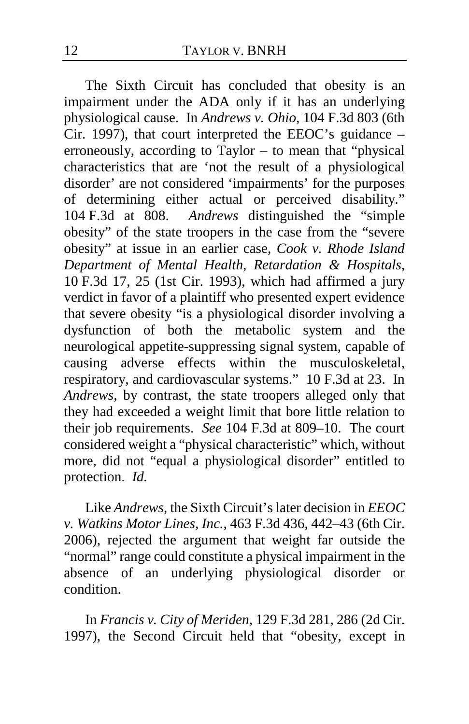The Sixth Circuit has concluded that obesity is an impairment under the ADA only if it has an underlying physiological cause. In *Andrews v. Ohio*, 104 F.3d 803 (6th Cir. 1997), that court interpreted the EEOC's guidance – erroneously, according to Taylor – to mean that "physical characteristics that are 'not the result of a physiological disorder' are not considered 'impairments' for the purposes of determining either actual or perceived disability." 104 F.3d at 808. *Andrews* distinguished the "simple obesity" of the state troopers in the case from the "severe obesity" at issue in an earlier case, *Cook v. Rhode Island Department of Mental Health, Retardation & Hospitals*, 10 F.3d 17, 25 (1st Cir. 1993), which had affirmed a jury verdict in favor of a plaintiff who presented expert evidence that severe obesity "is a physiological disorder involving a dysfunction of both the metabolic system and the neurological appetite-suppressing signal system, capable of causing adverse effects within the musculoskeletal, respiratory, and cardiovascular systems." 10 F.3d at 23. In *Andrews*, by contrast, the state troopers alleged only that they had exceeded a weight limit that bore little relation to their job requirements. *See* 104 F.3d at 809–10. The court considered weight a "physical characteristic" which, without more, did not "equal a physiological disorder" entitled to protection. *Id.*

Like *Andrews*, the Sixth Circuit's later decision in *EEOC v. Watkins Motor Lines, Inc.*, 463 F.3d 436, 442–43 (6th Cir. 2006), rejected the argument that weight far outside the "normal" range could constitute a physical impairment in the absence of an underlying physiological disorder or condition.

In *Francis v. City of Meriden*, 129 F.3d 281, 286 (2d Cir. 1997), the Second Circuit held that "obesity, except in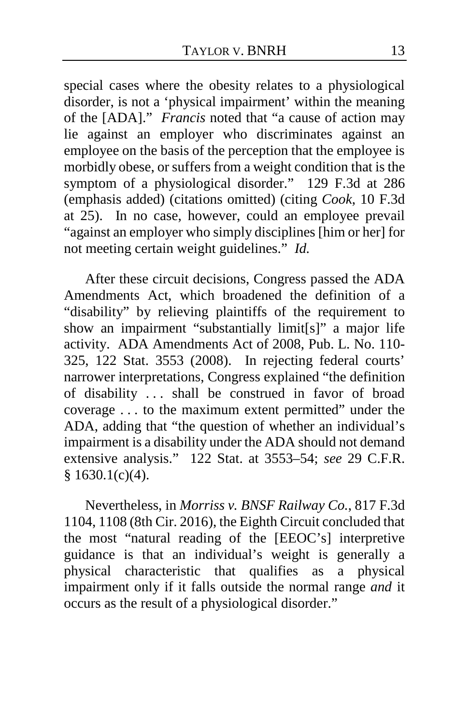special cases where the obesity relates to a physiological disorder, is not a 'physical impairment' within the meaning of the [ADA]." *Francis* noted that "a cause of action may lie against an employer who discriminates against an employee on the basis of the perception that the employee is morbidly obese, or suffers from a weight condition that is the symptom of a physiological disorder." 129 F.3d at 286 (emphasis added) (citations omitted) (citing *Cook*, 10 F.3d at 25). In no case, however, could an employee prevail "against an employer who simply disciplines [him or her] for not meeting certain weight guidelines." *Id.*

After these circuit decisions, Congress passed the ADA Amendments Act, which broadened the definition of a "disability" by relieving plaintiffs of the requirement to show an impairment "substantially limit[s]" a major life activity. ADA Amendments Act of 2008, Pub. L. No. 110- 325, 122 Stat. 3553 (2008). In rejecting federal courts' narrower interpretations, Congress explained "the definition of disability . . . shall be construed in favor of broad coverage . . . to the maximum extent permitted" under the ADA, adding that "the question of whether an individual's impairment is a disability under the ADA should not demand extensive analysis." 122 Stat. at 3553–54; *see* 29 C.F.R.  $$1630.1(c)(4).$ 

Nevertheless, in *Morriss v. BNSF Railway Co.*, 817 F.3d 1104, 1108 (8th Cir. 2016), the Eighth Circuit concluded that the most "natural reading of the [EEOC's] interpretive guidance is that an individual's weight is generally a physical characteristic that qualifies as a physical impairment only if it falls outside the normal range *and* it occurs as the result of a physiological disorder."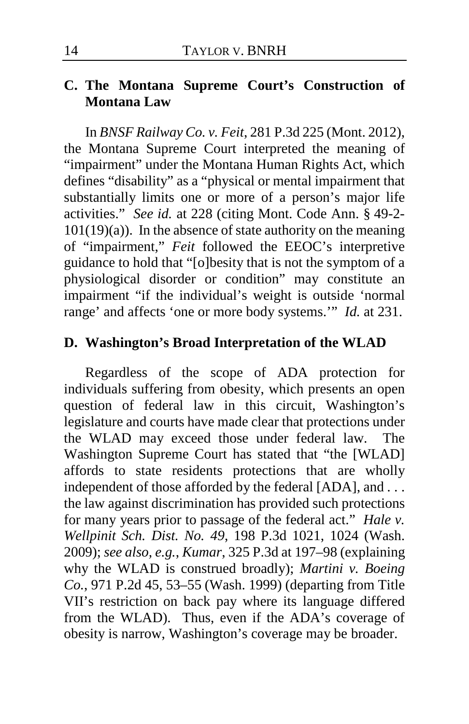### **C. The Montana Supreme Court's Construction of Montana Law**

In *BNSF Railway Co. v. Feit*, 281 P.3d 225 (Mont. 2012), the Montana Supreme Court interpreted the meaning of "impairment" under the Montana Human Rights Act, which defines "disability" as a "physical or mental impairment that substantially limits one or more of a person's major life activities." *See id.* at 228 (citing Mont. Code Ann. § 49-2-  $101(19)(a)$ ). In the absence of state authority on the meaning of "impairment," *Feit* followed the EEOC's interpretive guidance to hold that "[o]besity that is not the symptom of a physiological disorder or condition" may constitute an impairment "if the individual's weight is outside 'normal range' and affects 'one or more body systems.'" *Id.* at 231.

## **D. Washington's Broad Interpretation of the WLAD**

Regardless of the scope of ADA protection for individuals suffering from obesity, which presents an open question of federal law in this circuit, Washington's legislature and courts have made clear that protections under the WLAD may exceed those under federal law. The Washington Supreme Court has stated that "the [WLAD] affords to state residents protections that are wholly independent of those afforded by the federal [ADA], and ... the law against discrimination has provided such protections for many years prior to passage of the federal act." *Hale v. Wellpinit Sch. Dist. No. 49*, 198 P.3d 1021, 1024 (Wash. 2009); *see also, e.g.*, *Kumar*, 325 P.3d at 197–98 (explaining why the WLAD is construed broadly); *Martini v. Boeing Co.*, 971 P.2d 45, 53–55 (Wash. 1999) (departing from Title VII's restriction on back pay where its language differed from the WLAD). Thus, even if the ADA's coverage of obesity is narrow, Washington's coverage may be broader.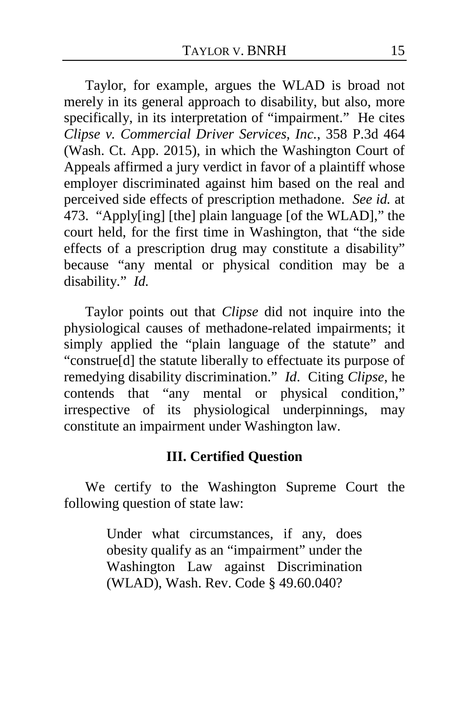Taylor, for example, argues the WLAD is broad not merely in its general approach to disability, but also, more specifically, in its interpretation of "impairment." He cites *Clipse v. Commercial Driver Services, Inc.*, 358 P.3d 464 (Wash. Ct. App. 2015), in which the Washington Court of Appeals affirmed a jury verdict in favor of a plaintiff whose employer discriminated against him based on the real and perceived side effects of prescription methadone. *See id.* at 473. "Apply[ing] [the] plain language [of the WLAD]," the court held, for the first time in Washington, that "the side effects of a prescription drug may constitute a disability" because "any mental or physical condition may be a disability." *Id.*

Taylor points out that *Clipse* did not inquire into the physiological causes of methadone-related impairments; it simply applied the "plain language of the statute" and "construe[d] the statute liberally to effectuate its purpose of remedying disability discrimination." *Id*. Citing *Clipse*, he contends that "any mental or physical condition," irrespective of its physiological underpinnings, may constitute an impairment under Washington law.

### **III. Certified Question**

We certify to the Washington Supreme Court the following question of state law:

> Under what circumstances, if any, does obesity qualify as an "impairment" under the Washington Law against Discrimination (WLAD), Wash. Rev. Code § 49.60.040?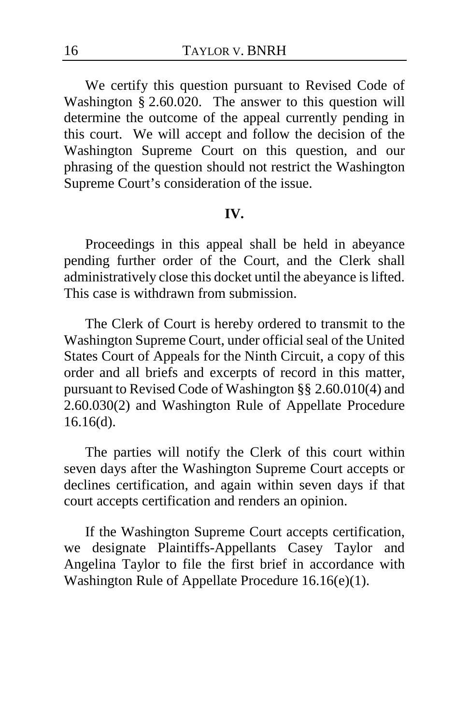We certify this question pursuant to Revised Code of Washington § 2.60.020. The answer to this question will determine the outcome of the appeal currently pending in this court. We will accept and follow the decision of the Washington Supreme Court on this question, and our phrasing of the question should not restrict the Washington Supreme Court's consideration of the issue.

#### **IV.**

Proceedings in this appeal shall be held in abeyance pending further order of the Court, and the Clerk shall administratively close this docket until the abeyance is lifted. This case is withdrawn from submission.

The Clerk of Court is hereby ordered to transmit to the Washington Supreme Court, under official seal of the United States Court of Appeals for the Ninth Circuit, a copy of this order and all briefs and excerpts of record in this matter, pursuant to Revised Code of Washington §§ 2.60.010(4) and 2.60.030(2) and Washington Rule of Appellate Procedure 16.16(d).

The parties will notify the Clerk of this court within seven days after the Washington Supreme Court accepts or declines certification, and again within seven days if that court accepts certification and renders an opinion.

If the Washington Supreme Court accepts certification, we designate Plaintiffs-Appellants Casey Taylor and Angelina Taylor to file the first brief in accordance with Washington Rule of Appellate Procedure 16.16(e)(1).